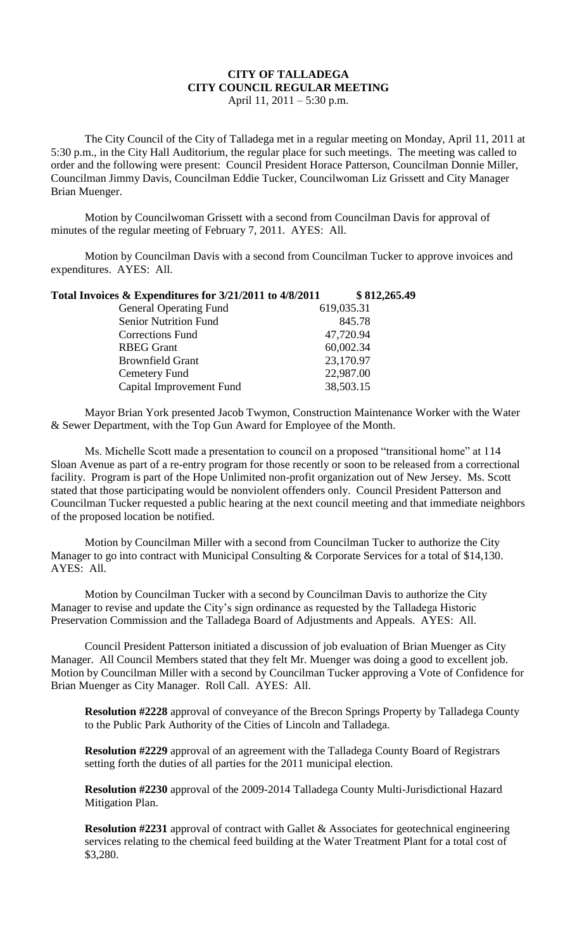## **CITY OF TALLADEGA CITY COUNCIL REGULAR MEETING** April 11, 2011 – 5:30 p.m.

The City Council of the City of Talladega met in a regular meeting on Monday, April 11, 2011 at 5:30 p.m., in the City Hall Auditorium, the regular place for such meetings. The meeting was called to order and the following were present: Council President Horace Patterson, Councilman Donnie Miller, Councilman Jimmy Davis, Councilman Eddie Tucker, Councilwoman Liz Grissett and City Manager Brian Muenger.

Motion by Councilwoman Grissett with a second from Councilman Davis for approval of minutes of the regular meeting of February 7, 2011. AYES: All.

Motion by Councilman Davis with a second from Councilman Tucker to approve invoices and expenditures. AYES: All.

| Total Invoices & Expenditures for 3/21/2011 to 4/8/2011 | \$812,265.49 |
|---------------------------------------------------------|--------------|
| <b>General Operating Fund</b>                           | 619,035.31   |
| <b>Senior Nutrition Fund</b>                            | 845.78       |
| <b>Corrections Fund</b>                                 | 47,720.94    |
| <b>RBEG Grant</b>                                       | 60,002.34    |
| <b>Brownfield Grant</b>                                 | 23,170.97    |
| Cemetery Fund                                           | 22,987.00    |
| Capital Improvement Fund                                | 38,503.15    |
|                                                         |              |

Mayor Brian York presented Jacob Twymon, Construction Maintenance Worker with the Water & Sewer Department, with the Top Gun Award for Employee of the Month.

Ms. Michelle Scott made a presentation to council on a proposed "transitional home" at 114 Sloan Avenue as part of a re-entry program for those recently or soon to be released from a correctional facility. Program is part of the Hope Unlimited non-profit organization out of New Jersey. Ms. Scott stated that those participating would be nonviolent offenders only. Council President Patterson and Councilman Tucker requested a public hearing at the next council meeting and that immediate neighbors of the proposed location be notified.

Motion by Councilman Miller with a second from Councilman Tucker to authorize the City Manager to go into contract with Municipal Consulting & Corporate Services for a total of \$14,130. AYES: All.

Motion by Councilman Tucker with a second by Councilman Davis to authorize the City Manager to revise and update the City's sign ordinance as requested by the Talladega Historic Preservation Commission and the Talladega Board of Adjustments and Appeals. AYES: All.

Council President Patterson initiated a discussion of job evaluation of Brian Muenger as City Manager. All Council Members stated that they felt Mr. Muenger was doing a good to excellent job. Motion by Councilman Miller with a second by Councilman Tucker approving a Vote of Confidence for Brian Muenger as City Manager. Roll Call. AYES: All.

**Resolution #2228** approval of conveyance of the Brecon Springs Property by Talladega County to the Public Park Authority of the Cities of Lincoln and Talladega.

**Resolution #2229** approval of an agreement with the Talladega County Board of Registrars setting forth the duties of all parties for the 2011 municipal election.

**Resolution #2230** approval of the 2009-2014 Talladega County Multi-Jurisdictional Hazard Mitigation Plan.

**Resolution #2231** approval of contract with Gallet & Associates for geotechnical engineering services relating to the chemical feed building at the Water Treatment Plant for a total cost of \$3,280.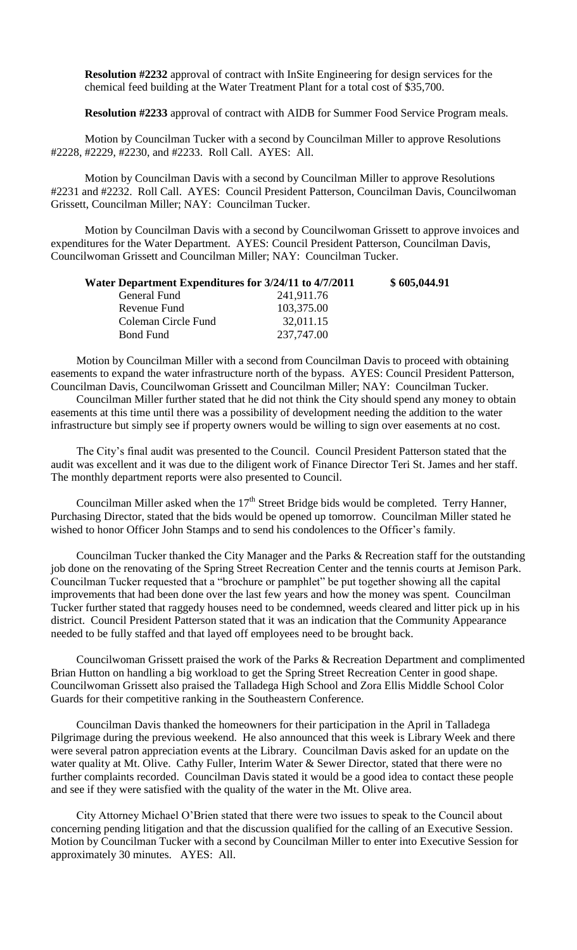**Resolution #2232** approval of contract with InSite Engineering for design services for the chemical feed building at the Water Treatment Plant for a total cost of \$35,700.

**Resolution #2233** approval of contract with AIDB for Summer Food Service Program meals.

Motion by Councilman Tucker with a second by Councilman Miller to approve Resolutions #2228, #2229, #2230, and #2233. Roll Call. AYES: All.

Motion by Councilman Davis with a second by Councilman Miller to approve Resolutions #2231 and #2232. Roll Call. AYES: Council President Patterson, Councilman Davis, Councilwoman Grissett, Councilman Miller; NAY: Councilman Tucker.

Motion by Councilman Davis with a second by Councilwoman Grissett to approve invoices and expenditures for the Water Department. AYES: Council President Patterson, Councilman Davis, Councilwoman Grissett and Councilman Miller; NAY: Councilman Tucker.

| Water Department Expenditures for 3/24/11 to 4/7/2011 |            | \$605,044.91 |
|-------------------------------------------------------|------------|--------------|
| General Fund                                          | 241,911.76 |              |
| Revenue Fund                                          | 103,375.00 |              |
| Coleman Circle Fund                                   | 32,011.15  |              |
| Bond Fund                                             | 237,747.00 |              |

Motion by Councilman Miller with a second from Councilman Davis to proceed with obtaining easements to expand the water infrastructure north of the bypass. AYES: Council President Patterson, Councilman Davis, Councilwoman Grissett and Councilman Miller; NAY: Councilman Tucker.

Councilman Miller further stated that he did not think the City should spend any money to obtain easements at this time until there was a possibility of development needing the addition to the water infrastructure but simply see if property owners would be willing to sign over easements at no cost.

The City's final audit was presented to the Council. Council President Patterson stated that the audit was excellent and it was due to the diligent work of Finance Director Teri St. James and her staff. The monthly department reports were also presented to Council.

Councilman Miller asked when the  $17<sup>th</sup>$  Street Bridge bids would be completed. Terry Hanner, Purchasing Director, stated that the bids would be opened up tomorrow. Councilman Miller stated he wished to honor Officer John Stamps and to send his condolences to the Officer's family.

Councilman Tucker thanked the City Manager and the Parks & Recreation staff for the outstanding job done on the renovating of the Spring Street Recreation Center and the tennis courts at Jemison Park. Councilman Tucker requested that a "brochure or pamphlet" be put together showing all the capital improvements that had been done over the last few years and how the money was spent. Councilman Tucker further stated that raggedy houses need to be condemned, weeds cleared and litter pick up in his district. Council President Patterson stated that it was an indication that the Community Appearance needed to be fully staffed and that layed off employees need to be brought back.

Councilwoman Grissett praised the work of the Parks & Recreation Department and complimented Brian Hutton on handling a big workload to get the Spring Street Recreation Center in good shape. Councilwoman Grissett also praised the Talladega High School and Zora Ellis Middle School Color Guards for their competitive ranking in the Southeastern Conference.

Councilman Davis thanked the homeowners for their participation in the April in Talladega Pilgrimage during the previous weekend. He also announced that this week is Library Week and there were several patron appreciation events at the Library. Councilman Davis asked for an update on the water quality at Mt. Olive. Cathy Fuller, Interim Water & Sewer Director, stated that there were no further complaints recorded. Councilman Davis stated it would be a good idea to contact these people and see if they were satisfied with the quality of the water in the Mt. Olive area.

City Attorney Michael O'Brien stated that there were two issues to speak to the Council about concerning pending litigation and that the discussion qualified for the calling of an Executive Session. Motion by Councilman Tucker with a second by Councilman Miller to enter into Executive Session for approximately 30 minutes. AYES: All.